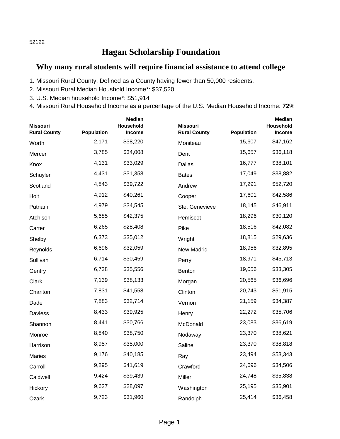## 52122

## **Hagan Scholarship Foundation**

## **Why many rural students will require financial assistance to attend college**

- 1. Missouri Rural County. Defined as a County having fewer than 50,000 residents.
- 2. Missouri Rural Median Houshold Income\*: \$37,520
- 3. U.S. Median household Income\*: \$51,914
- 4. Missouri Rural Household Income as a percentage of the U.S. Median Household Income: **72%**

| <b>Missouri</b><br><b>Rural County</b> | <b>Population</b> | <b>Median</b><br>Household<br><b>Income</b> | <b>Missouri</b><br><b>Rural County</b> | Population | <b>Median</b><br>Household<br>Income |
|----------------------------------------|-------------------|---------------------------------------------|----------------------------------------|------------|--------------------------------------|
| Worth                                  | 2,171             | \$38,220                                    | Moniteau                               | 15,607     | \$47,162                             |
| Mercer                                 | 3,785             | \$34,008                                    | Dent                                   | 15,657     | \$36,118                             |
| Knox                                   | 4,131             | \$33,029                                    | Dallas                                 | 16,777     | \$38,101                             |
| Schuyler                               | 4,431             | \$31,358                                    | <b>Bates</b>                           | 17,049     | \$38,882                             |
| Scotland                               | 4,843             | \$39,722                                    | Andrew                                 | 17,291     | \$52,720                             |
| Holt                                   | 4,912             | \$40,261                                    | Cooper                                 | 17,601     | \$42,586                             |
| Putnam                                 | 4,979             | \$34,545                                    | Ste. Genevieve                         | 18,145     | \$46,911                             |
| Atchison                               | 5,685             | \$42,375                                    | Pemiscot                               | 18,296     | \$30,120                             |
| Carter                                 | 6,265             | \$28,408                                    | Pike                                   | 18,516     | \$42,082                             |
| Shelby                                 | 6,373             | \$35,012                                    | Wright                                 | 18,815     | \$29,636                             |
| Reynolds                               | 6,696             | \$32,059                                    | New Madrid                             | 18,956     | \$32,895                             |
| Sullivan                               | 6,714             | \$30,459                                    | Perry                                  | 18,971     | \$45,713                             |
| Gentry                                 | 6,738             | \$35,556                                    | Benton                                 | 19,056     | \$33,305                             |
| Clark                                  | 7,139             | \$38,133                                    | Morgan                                 | 20,565     | \$36,696                             |
| Chariton                               | 7,831             | \$41,558                                    | Clinton                                | 20,743     | \$51,915                             |
| Dade                                   | 7,883             | \$32,714                                    | Vernon                                 | 21,159     | \$34,387                             |
| Daviess                                | 8,433             | \$39,925                                    | Henry                                  | 22,272     | \$35,706                             |
| Shannon                                | 8,441             | \$30,766                                    | McDonald                               | 23,083     | \$36,619                             |
| Monroe                                 | 8,840             | \$38,750                                    | Nodaway                                | 23,370     | \$38,621                             |
| Harrison                               | 8,957             | \$35,000                                    | Saline                                 | 23,370     | \$38,818                             |
| <b>Maries</b>                          | 9,176             | \$40,185                                    | Ray                                    | 23,494     | \$53,343                             |
| Carroll                                | 9,295             | \$41,619                                    | Crawford                               | 24,696     | \$34,506                             |
| Caldwell                               | 9,424             | \$39,439                                    | Miller                                 | 24,748     | \$35,838                             |
| Hickory                                | 9,627             | \$28,097                                    | Washington                             | 25,195     | \$35,901                             |
| Ozark                                  | 9,723             | \$31,960                                    | Randolph                               | 25,414     | \$36,458                             |